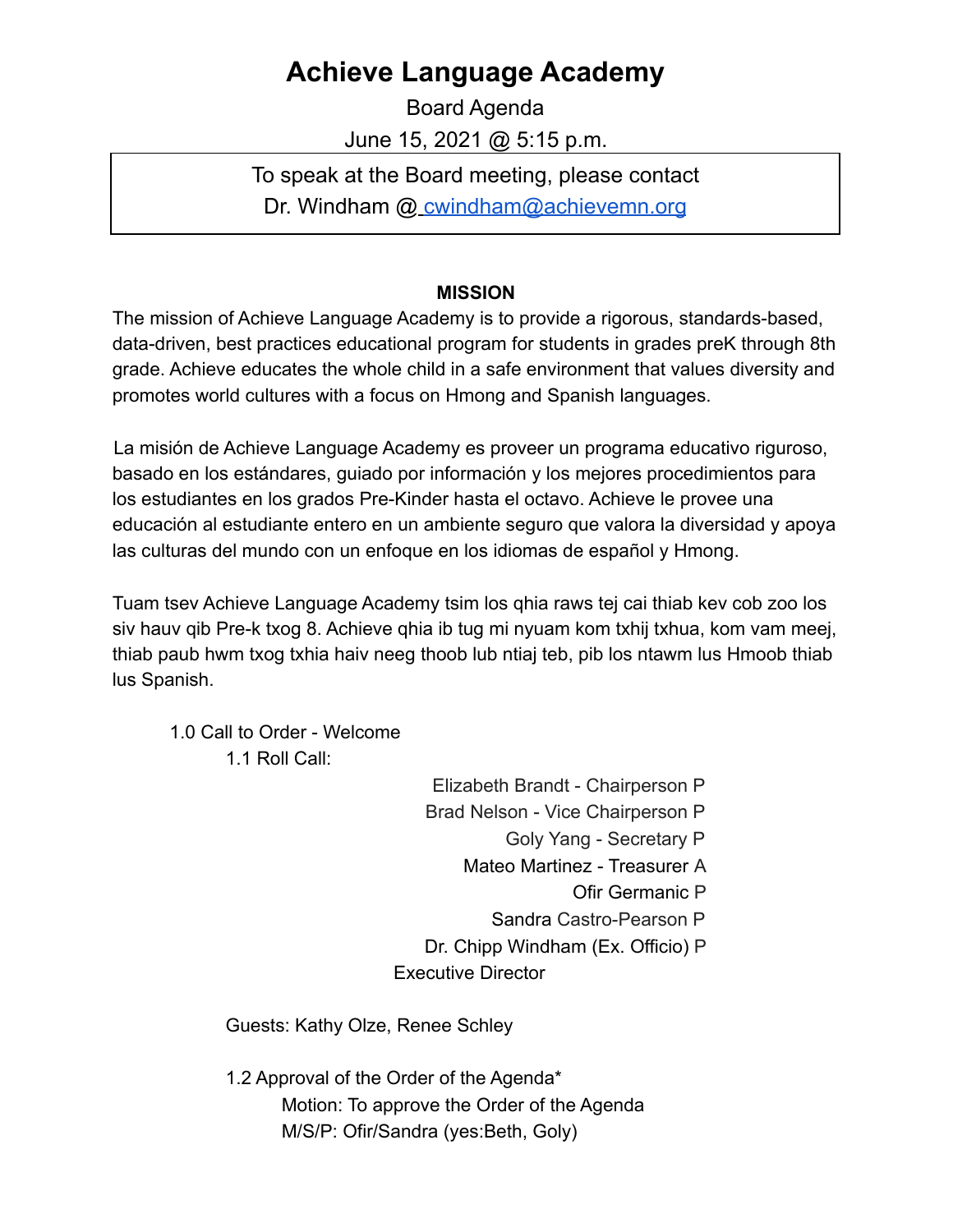## **Achieve Language Academy**

Board Agenda June 15, 2021 @ 5:15 p.m.

To speak at the Board meeting, please contact Dr. Windham @ cwindham@achievemn.org

## **MISSION**

The mission of Achieve Language Academy is to provide a rigorous, standards-based, data-driven, best practices educational program for students in grades preK through 8th grade. Achieve educates the whole child in a safe environment that values diversity and promotes world cultures with a focus on Hmong and Spanish languages.

La misión de Achieve Language Academy es proveer un programa educativo riguroso, basado en los estándares, guiado por información y los mejores procedimientos para los estudiantes en los grados Pre-Kinder hasta el octavo. Achieve le provee una educación al estudiante entero en un ambiente seguro que valora la diversidad y apoya las culturas del mundo con un enfoque en los idiomas de español y Hmong.

Tuam tsev Achieve Language Academy tsim los qhia raws tej cai thiab kev cob zoo los siv hauv qib Pre-k txog 8. Achieve qhia ib tug mi nyuam kom txhij txhua, kom vam meej, thiab paub hwm txog txhia haiv neeg thoob lub ntiaj teb, pib los ntawm lus Hmoob thiab lus Spanish.

1.0 Call to Order - Welcome

1.1 Roll Call:

Elizabeth Brandt - Chairperson P Brad Nelson - Vice Chairperson P Goly Yang - Secretary P Mateo Martinez - Treasurer A Ofir Germanic P Sandra Castro-Pearson P Dr. Chipp Windham (Ex. Officio) P Executive Director

Guests: Kathy Olze, Renee Schley

1.2 Approval of the Order of the Agenda\* Motion: To approve the Order of the Agenda M/S/P: Ofir/Sandra (yes:Beth, Goly)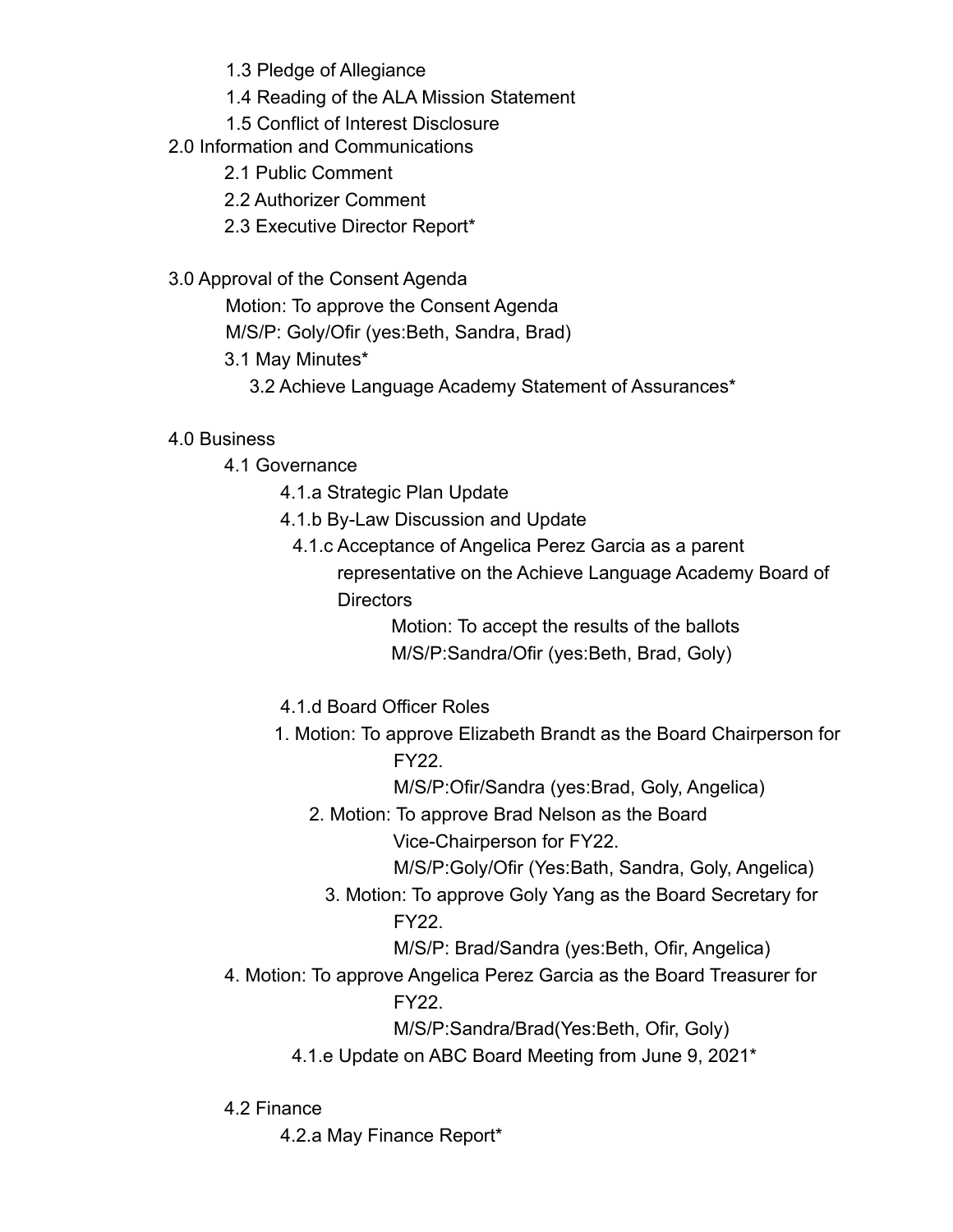1.3 Pledge of Allegiance

- 1.4 Reading of the ALA Mission Statement
- 1.5 Conflict of Interest Disclosure
- 2.0 Information and Communications
	- 2.1 Public Comment
	- 2.2 Authorizer Comment
	- 2.3 Executive Director Report\*
- 3.0 Approval of the Consent Agenda

Motion: To approve the Consent Agenda

M/S/P: Goly/Ofir (yes:Beth, Sandra, Brad)

- 3.1 May Minutes\*
	- 3.2 Achieve Language Academy Statement of Assurances\*
- 4.0 Business
	- 4.1 Governance
		- 4.1.a Strategic Plan Update
		- 4.1.b By-Law Discussion and Update
			- 4.1.c Acceptance of Angelica Perez Garcia as a parent representative on the Achieve Language Academy Board of **Directors**

Motion: To accept the results of the ballots M/S/P:Sandra/Ofir (yes:Beth, Brad, Goly)

- 4.1.d Board Officer Roles
- 1. Motion: To approve Elizabeth Brandt as the Board Chairperson for FY22.
	- M/S/P:Ofir/Sandra (yes:Brad, Goly, Angelica)
	- 2. Motion: To approve Brad Nelson as the Board

Vice-Chairperson for FY22.

M/S/P:Goly/Ofir (Yes:Bath, Sandra, Goly, Angelica)

- 3. Motion: To approve Goly Yang as the Board Secretary for FY22.
	- M/S/P: Brad/Sandra (yes:Beth, Ofir, Angelica)
- 4. Motion: To approve Angelica Perez Garcia as the Board Treasurer for FY22.

M/S/P:Sandra/Brad(Yes:Beth, Ofir, Goly)

- 4.1.e Update on ABC Board Meeting from June 9, 2021\*
- 4.2 Finance
	- 4.2.a May Finance Report\*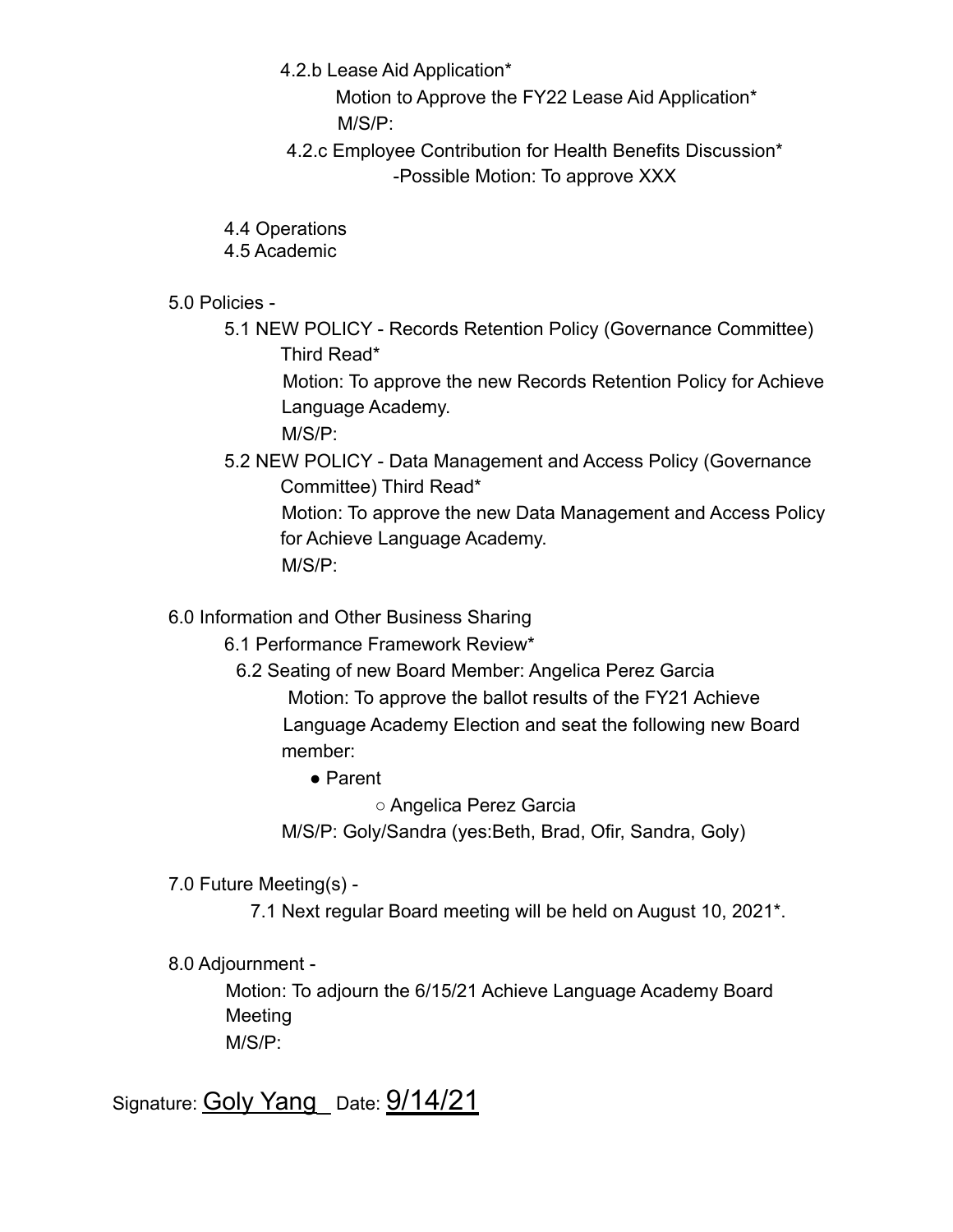- 4.2.b Lease Aid Application\*
	- Motion to Approve the FY22 Lease Aid Application\* M/S/P:
- 4.2.c Employee Contribution for Health Benefits Discussion\* -Possible Motion: To approve XXX
- 4.4 Operations
- 4.5 Academic
- 5.0 Policies
	- 5.1 NEW POLICY Records Retention Policy (Governance Committee) Third Read\*

Motion: To approve the new Records Retention Policy for Achieve Language Academy.

M/S/P:

5.2 NEW POLICY - Data Management and Access Policy (Governance Committee) Third Read\*

Motion: To approve the new Data Management and Access Policy for Achieve Language Academy. M/S/P:

6.0 Information and Other Business Sharing

- 6.1 Performance Framework Review\*
	- 6.2 Seating of new Board Member: Angelica Perez Garcia Motion: To approve the ballot results of the FY21 Achieve Language Academy Election and seat the following new Board member:
		- Parent

○ Angelica Perez Garcia

M/S/P: Goly/Sandra (yes:Beth, Brad, Ofir, Sandra, Goly)

- 7.0 Future Meeting(s)
	- 7.1 Next regular Board meeting will be held on August 10, 2021\*.
- 8.0 Adjournment -

Motion: To adjourn the 6/15/21 Achieve Language Academy Board Meeting M/S/P:

Signature: Goly Yang\_ Date: 9/14/21